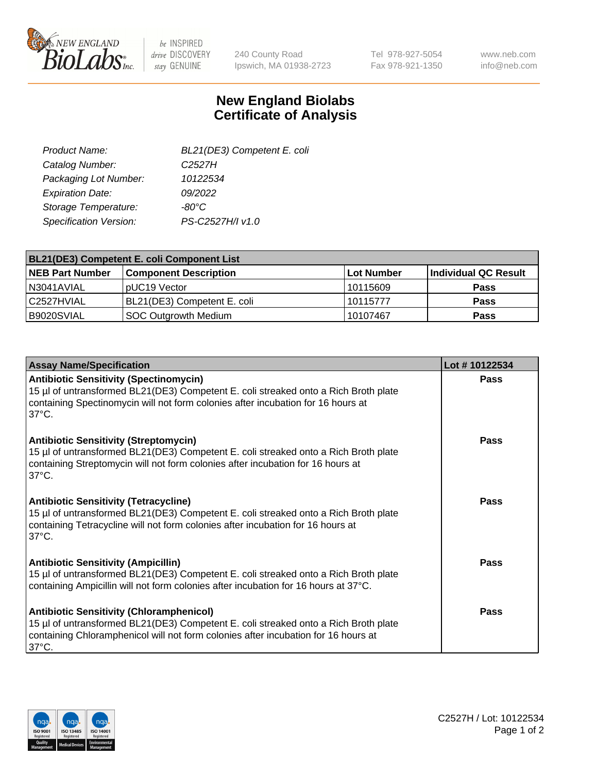

 $be$  INSPIRED drive DISCOVERY stay GENUINE

240 County Road Ipswich, MA 01938-2723 Tel 978-927-5054 Fax 978-921-1350 www.neb.com info@neb.com

## **New England Biolabs Certificate of Analysis**

| BL21(DE3) Competent E. coli |
|-----------------------------|
| C <sub>2527</sub> H         |
| 10122534                    |
| 09/2022                     |
| -80°C                       |
| PS-C2527H/I v1.0            |
|                             |

| BL21(DE3) Competent E. coli Component List |                              |             |                      |  |
|--------------------------------------------|------------------------------|-------------|----------------------|--|
| <b>NEB Part Number</b>                     | <b>Component Description</b> | ⊺Lot Number | Individual QC Result |  |
| N3041AVIAL                                 | pUC19 Vector                 | 10115609    | <b>Pass</b>          |  |
| l C2527HVIAL                               | BL21(DE3) Competent E. coli  | 10115777    | <b>Pass</b>          |  |
| B9020SVIAL                                 | SOC Outgrowth Medium         | 10107467    | <b>Pass</b>          |  |

| <b>Assay Name/Specification</b>                                                                                                                                                                                                                 | Lot #10122534 |
|-------------------------------------------------------------------------------------------------------------------------------------------------------------------------------------------------------------------------------------------------|---------------|
| <b>Antibiotic Sensitivity (Spectinomycin)</b><br>15 µl of untransformed BL21(DE3) Competent E. coli streaked onto a Rich Broth plate<br>containing Spectinomycin will not form colonies after incubation for 16 hours at<br>$37^{\circ}$ C.     | <b>Pass</b>   |
| <b>Antibiotic Sensitivity (Streptomycin)</b><br>15 µl of untransformed BL21(DE3) Competent E. coli streaked onto a Rich Broth plate<br>containing Streptomycin will not form colonies after incubation for 16 hours at<br>$37^{\circ}$ C.       | Pass          |
| <b>Antibiotic Sensitivity (Tetracycline)</b><br>15 µl of untransformed BL21(DE3) Competent E. coli streaked onto a Rich Broth plate<br>containing Tetracycline will not form colonies after incubation for 16 hours at<br>$37^{\circ}$ C.       | Pass          |
| <b>Antibiotic Sensitivity (Ampicillin)</b><br>15 µl of untransformed BL21(DE3) Competent E. coli streaked onto a Rich Broth plate<br>containing Ampicillin will not form colonies after incubation for 16 hours at 37°C.                        | Pass          |
| <b>Antibiotic Sensitivity (Chloramphenicol)</b><br>15 µl of untransformed BL21(DE3) Competent E. coli streaked onto a Rich Broth plate<br>containing Chloramphenicol will not form colonies after incubation for 16 hours at<br>$37^{\circ}$ C. | Pass          |